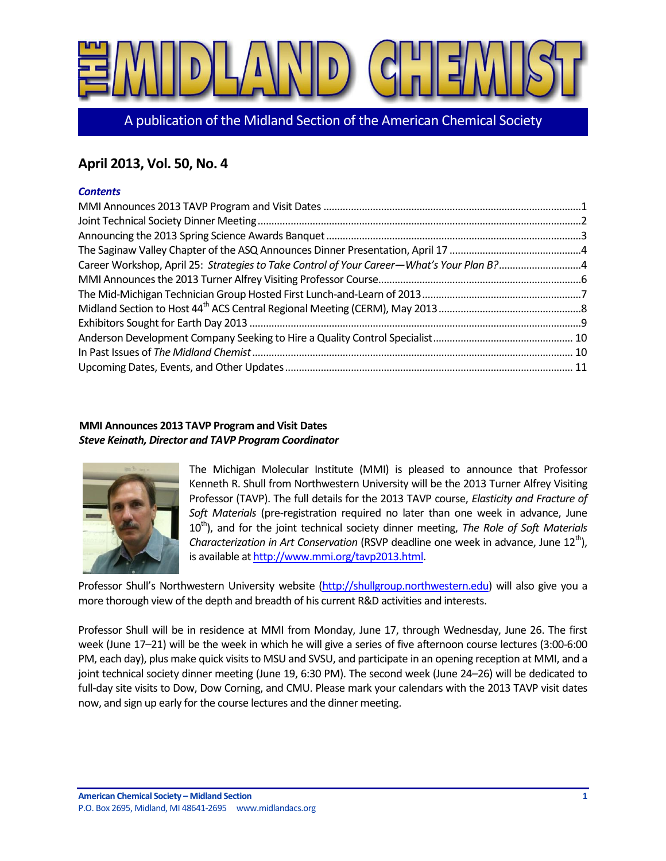

A publication of the Midland Section of the American Chemical Society

# **April 2013, Vol. 50, No. 4**

# *Contents*

| Career Workshop, April 25: Strategies to Take Control of Your Career-What's Your Plan B?4 |  |
|-------------------------------------------------------------------------------------------|--|
|                                                                                           |  |
|                                                                                           |  |
|                                                                                           |  |
|                                                                                           |  |
|                                                                                           |  |
|                                                                                           |  |
|                                                                                           |  |

# <span id="page-0-0"></span>**MMI Announces 2013 TAVP Program and Visit Dates** *Steve Keinath, Director and TAVP Program Coordinator*



The Michigan Molecular Institute (MMI) is pleased to announce that Professor Kenneth R. Shull from Northwestern University will be the 2013 Turner Alfrey Visiting Professor (TAVP). The full details for the 2013 TAVP course, *Elasticity and Fracture of Soft Materials* (pre-registration required no later than one week in advance, June 10<sup>th</sup>), and for the joint technical society dinner meeting, *The Role of Soft Materials Characterization in Art Conservation* (RSVP deadline one week in advance, June 12<sup>th</sup>), is available a[t http://www.mmi.org/tavp2013.html.](http://www.mmi.org/tavp2013.html)

Professor Shull's Northwestern University website [\(http://shullgroup.northwestern.edu\)](http://shullgroup.northwestern.edu/) will also give you a more thorough view of the depth and breadth of his current R&D activities and interests.

Professor Shull will be in residence at MMI from Monday, June 17, through Wednesday, June 26. The first week (June 17–21) will be the week in which he will give a series of five afternoon course lectures (3:00-6:00 PM, each day), plus make quick visits to MSU and SVSU, and participate in an opening reception at MMI, and a joint technical society dinner meeting (June 19, 6:30 PM). The second week (June 24–26) will be dedicated to full-day site visits to Dow, Dow Corning, and CMU. Please mark your calendars with the 2013 TAVP visit dates now, and sign up early for the course lectures and the dinner meeting.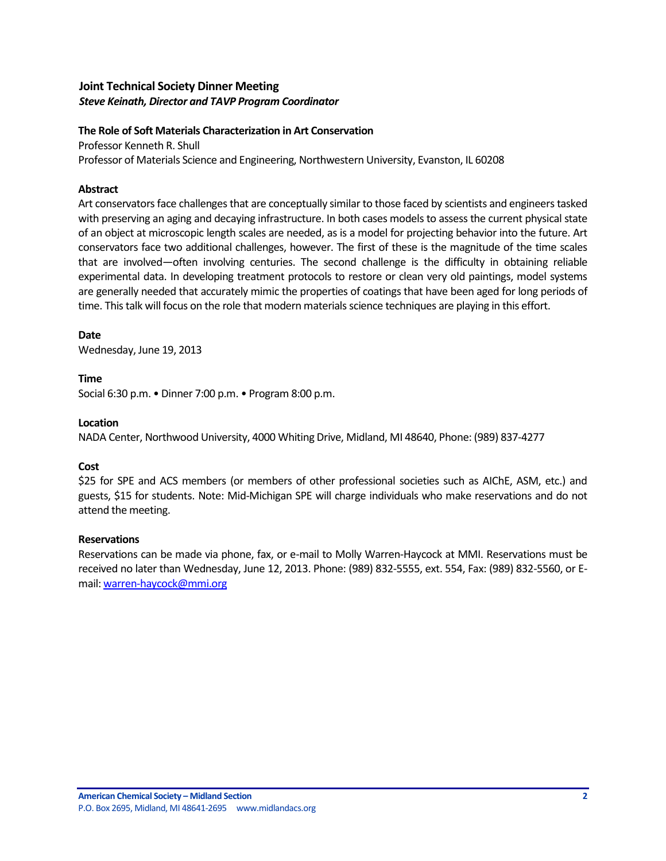# <span id="page-1-0"></span>**Joint Technical Society Dinner Meeting** *Steve Keinath, Director and TAVP Program Coordinator*

#### **The Role of Soft Materials Characterization in Art Conservation**

Professor Kenneth R. Shull Professor of Materials Science and Engineering, Northwestern University, Evanston, IL 60208

#### **Abstract**

Art conservators face challenges that are conceptually similar to those faced by scientists and engineers tasked with preserving an aging and decaying infrastructure. In both cases models to assess the current physical state of an object at microscopic length scales are needed, as is a model for projecting behavior into the future. Art conservators face two additional challenges, however. The first of these is the magnitude of the time scales that are involved—often involving centuries. The second challenge is the difficulty in obtaining reliable experimental data. In developing treatment protocols to restore or clean very old paintings, model systems are generally needed that accurately mimic the properties of coatings that have been aged for long periods of time. This talk will focus on the role that modern materials science techniques are playing in this effort.

#### **Date**

Wednesday, June 19, 2013

#### **Time**

Social 6:30 p.m. • Dinner 7:00 p.m. • Program 8:00 p.m.

#### **Location**

NADA Center, Northwood University, 4000 Whiting Drive, Midland, MI 48640, Phone: (989) 837-4277

# **Cost**

\$25 for SPE and ACS members (or members of other professional societies such as AIChE, ASM, etc.) and guests, \$15 for students. Note: Mid-Michigan SPE will charge individuals who make reservations and do not attend the meeting.

# **Reservations**

Reservations can be made via phone, fax, or e-mail to Molly Warren-Haycock at MMI. Reservations must be received no later than Wednesday, June 12, 2013. Phone: (989) 832-5555, ext. 554, Fax: (989) 832-5560, or Email: [warren-haycock@mmi.org](mailto:warren-haycock@mmi.org)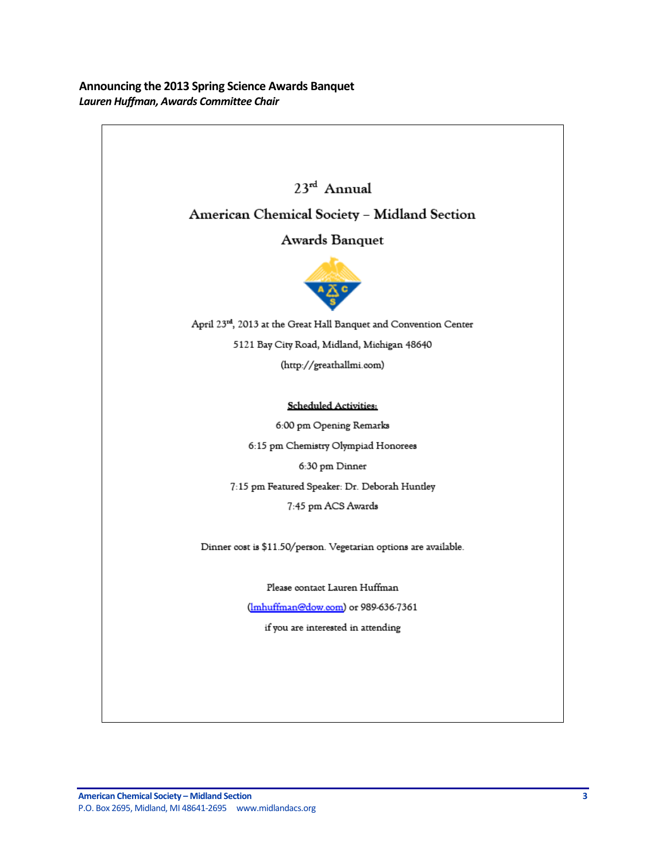<span id="page-2-0"></span>**Announcing the 2013 Spring Science Awards Banquet** *Lauren Huffman, Awards Committee Chair*

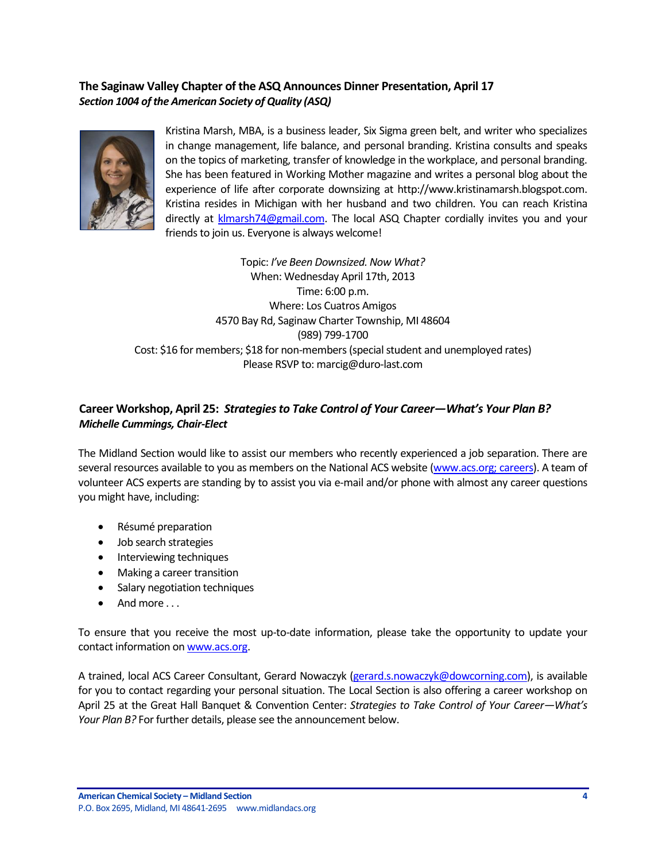# <span id="page-3-0"></span>**The Saginaw Valley Chapter of the ASQ Announces Dinner Presentation, April 17** *Section 1004 of the American Society of Quality (ASQ)*



Kristina Marsh, MBA, is a business leader, Six Sigma green belt, and writer who specializes in change management, life balance, and personal branding. Kristina consults and speaks on the topics of marketing, transfer of knowledge in the workplace, and personal branding. She has been featured in Working Mother magazine and writes a personal blog about the experience of life after corporate downsizing at http://www.kristinamarsh.blogspot.com. Kristina resides in Michigan with her husband and two children. You can reach Kristina directly at [klmarsh74@gmail.com.](mailto:klmarsh74@gmail.com) The local ASQ Chapter cordially invites you and your friends to join us. Everyone is always welcome!

Topic: *I've Been Downsized.Now What?* When: Wednesday April 17th, 2013 Time: 6:00 p.m. Where: Los Cuatros Amigos 4570 Bay Rd, Saginaw Charter Township, MI 48604 (989) 799-1700 Cost: \$16 for members; \$18 for non-members (special student and unemployed rates) Please RSVP to: marcig@duro-last.com

# <span id="page-3-1"></span>**Career Workshop, April 25:** *Strategies to Take Control of Your Career—What's Your Plan B? Michelle Cummings, Chair-Elect*

The Midland Section would like to assist our members who recently experienced a job separation. There are several resources available to you as members on the National ACS website [\(www.acs.org; careers\)](http://portal.acs.org/portal/acs/corg/content?_nfpb=true&_pageLabel=PP_CAREERS&node_id=87&use_sec=false&sec_url_var=region1&__uuid=1009fbab-a0da-4195-a468-cc3de58d4d25). A team of volunteer ACS experts are standing by to assist you via e-mail and/or phone with almost any career questions you might have, including:

- Résumé preparation
- Job search strategies
- Interviewing techniques
- Making a career transition
- Salary negotiation techniques
- And more . . .

To ensure that you receive the most up-to-date information, please take the opportunity to update your contact information o[n www.acs.org.](https://communities.acs.org/welcome)

A trained, local ACS Career Consultant, Gerard Nowaczyk [\(gerard.s.nowaczyk@dowcorning.com\)](mailto:gerard.s.nowaczyk@dowcorning.com), is available for you to contact regarding your personal situation. The Local Section is also offering a career workshop on April 25 at the Great Hall Banquet & Convention Center: *Strategies to Take Control of Your Career—What's Your Plan B?* For further details, please see the announcement below.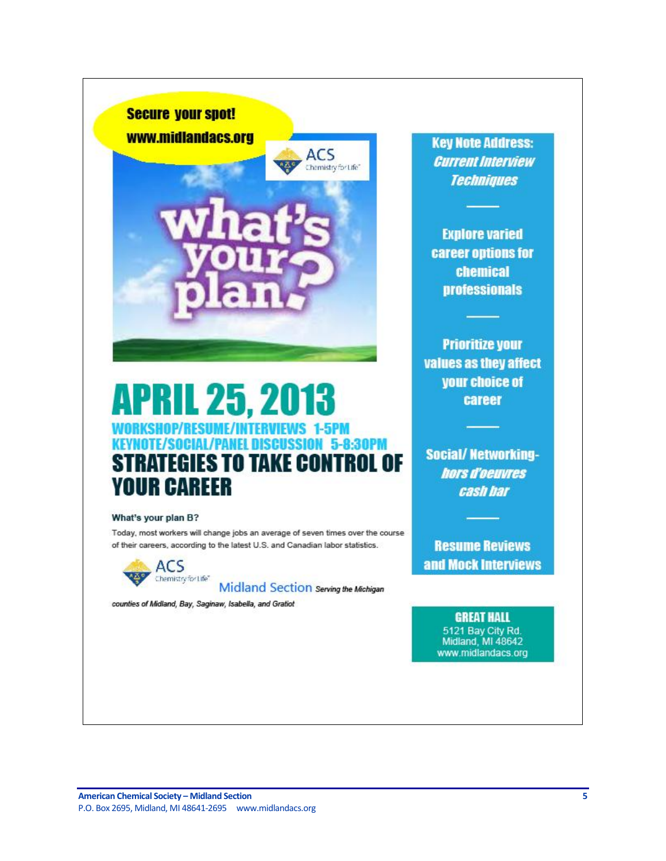

# **APRIL 25, 2013** WORKSHOP/RESUME/INTERVIEWS **1-5PM (OTE/SOCIAL/PANEL DISCUSSION 5-8:30PM TRATEGIES TO TAKE CONTROL OF** SI **YOUR CAREER**

#### What's your plan B?

Today, most workers will change jobs an average of seven times over the course of their careers, according to the latest U.S. and Canadian labor statistics.

ACS Chemistry for Life"

Midland Section Serving the Michigan

counties of Midland, Bay, Saginaw, Isabella, and Gratiot

**Key Note Address: Current Interview Techniques** 

**Explore varied** career options for chemical **professionals** 

**Prioritize your** values as they affect your choice of career

**Social/ Networking**hors d'oeuvres cash har

**Resume Reviews** and Mock Interviews

> **GREAT HALL** 5121 Bay City Rd. Midland, MI 48642 www.midlandacs.org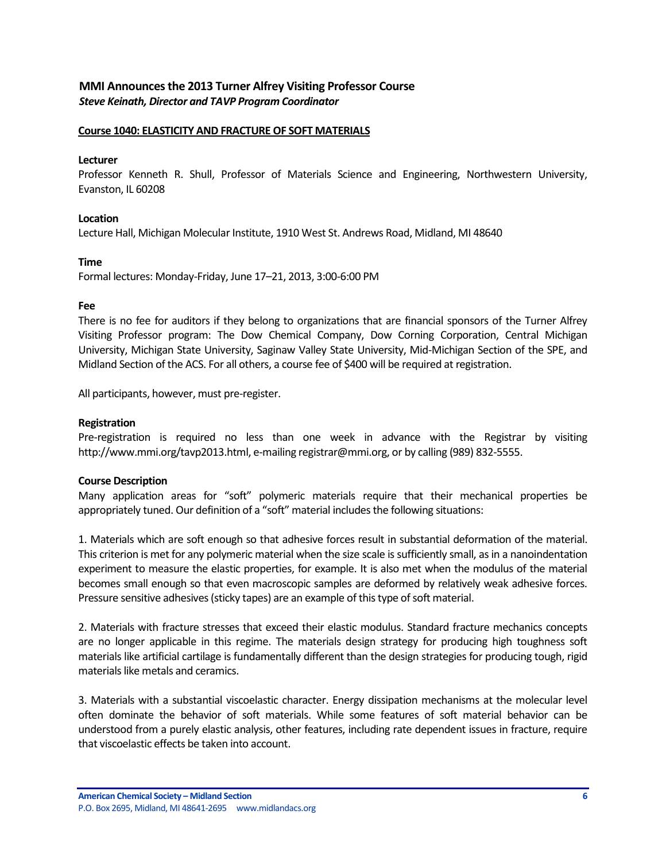# <span id="page-5-0"></span>**MMI Announces the 2013 Turner Alfrey Visiting Professor Course** *Steve Keinath, Director and TAVP Program Coordinator*

#### **Course 1040: ELASTICITY AND FRACTURE OF SOFT MATERIALS**

#### **Lecturer**

Professor Kenneth R. Shull, Professor of Materials Science and Engineering, Northwestern University, Evanston, IL 60208

#### **Location**

Lecture Hall, Michigan Molecular Institute, 1910 West St. Andrews Road, Midland, MI 48640

#### **Time**

Formal lectures: Monday-Friday, June 17–21, 2013, 3:00-6:00 PM

#### **Fee**

There is no fee for auditors if they belong to organizations that are financial sponsors of the Turner Alfrey Visiting Professor program: The Dow Chemical Company, Dow Corning Corporation, Central Michigan University, Michigan State University, Saginaw Valley State University, Mid-Michigan Section of the SPE, and Midland Section of the ACS. For all others, a course fee of \$400 will be required at registration.

All participants, however, must pre-register.

#### **Registration**

Pre-registration is required no less than one week in advance with the Registrar by visiting http://www.mmi.org/tavp2013.html, e-mailing registrar@mmi.org, or by calling (989) 832-5555.

# **Course Description**

Many application areas for "soft" polymeric materials require that their mechanical properties be appropriately tuned. Our definition of a "soft" material includes the following situations:

1. Materials which are soft enough so that adhesive forces result in substantial deformation of the material. This criterion is met for any polymeric material when the size scale is sufficiently small, as in a nanoindentation experiment to measure the elastic properties, for example. It is also met when the modulus of the material becomes small enough so that even macroscopic samples are deformed by relatively weak adhesive forces. Pressure sensitive adhesives (sticky tapes) are an example of this type of soft material.

2. Materials with fracture stresses that exceed their elastic modulus. Standard fracture mechanics concepts are no longer applicable in this regime. The materials design strategy for producing high toughness soft materials like artificial cartilage is fundamentally different than the design strategies for producing tough, rigid materials like metals and ceramics.

3. Materials with a substantial viscoelastic character. Energy dissipation mechanisms at the molecular level often dominate the behavior of soft materials. While some features of soft material behavior can be understood from a purely elastic analysis, other features, including rate dependent issues in fracture, require that viscoelastic effects be taken into account.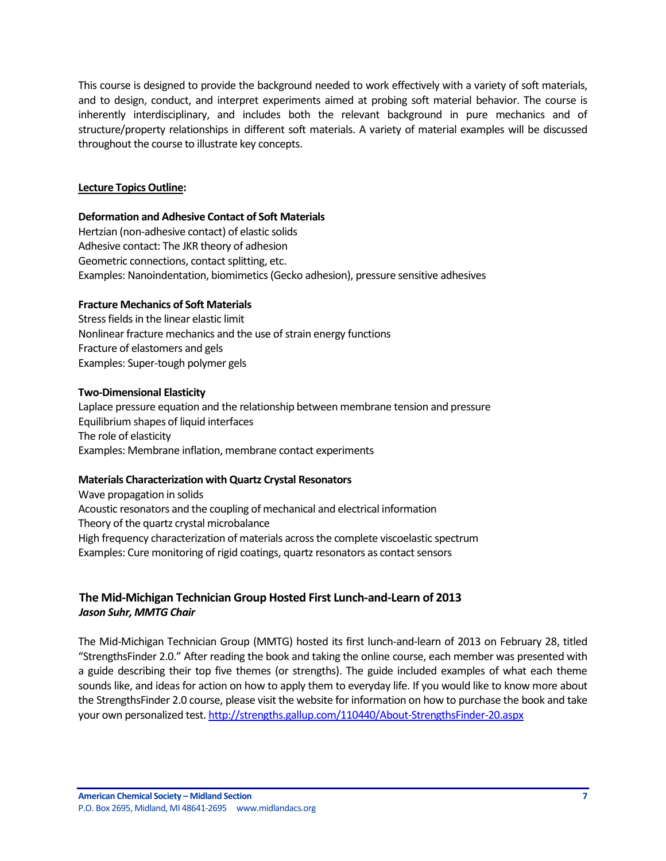This course is designed to provide the background needed to work effectively with a variety of soft materials, and to design, conduct, and interpret experiments aimed at probing soft material behavior. The course is inherently interdisciplinary, and includes both the relevant background in pure mechanics and of structure/property relationships in different soft materials. A variety of material examples will be discussed throughout the course to illustrate key concepts.

# **Lecture Topics Outline:**

# **Deformation and Adhesive Contact of Soft Materials**

Hertzian (non-adhesive contact) of elastic solids Adhesive contact: The JKR theory of adhesion Geometric connections, contact splitting, etc. Examples: Nanoindentation, biomimetics (Gecko adhesion), pressure sensitive adhesives

# **Fracture Mechanics of Soft Materials**

Stress fields in the linear elastic limit Nonlinear fracture mechanics and the use of strain energy functions Fracture of elastomers and gels Examples: Super-tough polymer gels

# **Two-Dimensional Elasticity**

Laplace pressure equation and the relationship between membrane tension and pressure Equilibrium shapes of liquid interfaces The role of elasticity Examples: Membrane inflation, membrane contact experiments

# **Materials Characterization with Quartz Crystal Resonators**

Wave propagation in solids Acoustic resonators and the coupling of mechanical and electrical information Theory of the quartz crystal microbalance High frequency characterization of materials across the complete viscoelastic spectrum Examples: Cure monitoring of rigid coatings, quartz resonators as contact sensors

# <span id="page-6-0"></span>**The Mid-Michigan Technician Group Hosted First Lunch-and-Learn of 2013** *Jason Suhr, MMTG Chair*

The Mid-Michigan Technician Group (MMTG) hosted its first lunch-and-learn of 2013 on February 28, titled "StrengthsFinder 2.0." After reading the book and taking the online course, each member was presented with a guide describing their top five themes (or strengths). The guide included examples of what each theme sounds like, and ideas for action on how to apply them to everyday life. If you would like to know more about the StrengthsFinder 2.0 course, please visit the website for information on how to purchase the book and take your own personalized test. <http://strengths.gallup.com/110440/About-StrengthsFinder-20.aspx>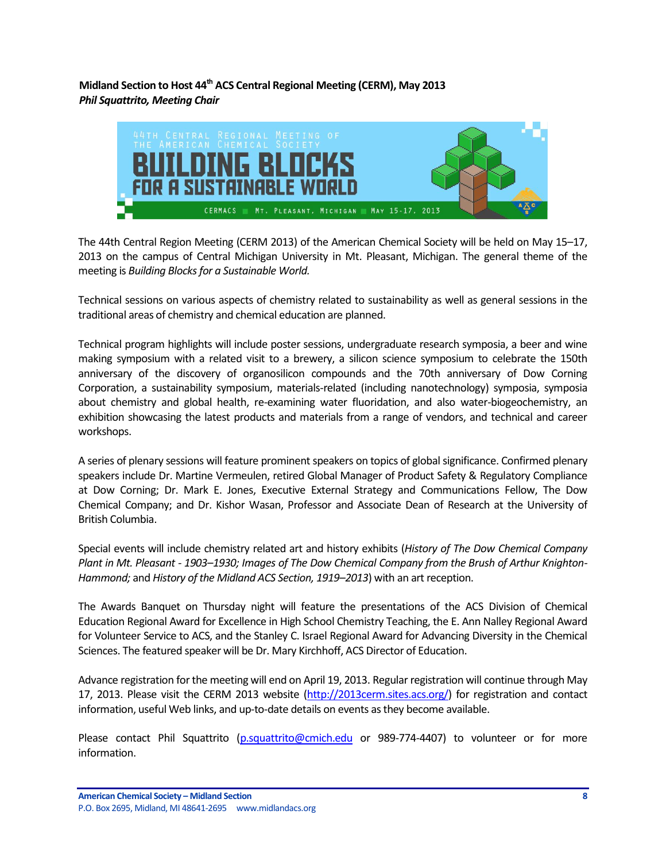<span id="page-7-0"></span>**Midland Section to Host 44th ACS Central Regional Meeting (CERM), May 2013** *Phil Squattrito, Meeting Chair*



The 44th Central Region Meeting (CERM 2013) of the American Chemical Society will be held on May 15–17, 2013 on the campus of Central Michigan University in Mt. Pleasant, Michigan. The general theme of the meeting is *Building Blocks for a Sustainable World.*

Technical sessions on various aspects of chemistry related to sustainability as well as general sessions in the traditional areas of chemistry and chemical education are planned.

Technical program highlights will include poster sessions, undergraduate research symposia, a beer and wine making symposium with a related visit to a brewery, a silicon science symposium to celebrate the 150th anniversary of the discovery of organosilicon compounds and the 70th anniversary of Dow Corning Corporation, a sustainability symposium, materials-related (including nanotechnology) symposia, symposia about chemistry and global health, re-examining water fluoridation, and also water-biogeochemistry, an exhibition showcasing the latest products and materials from a range of vendors, and technical and career workshops.

A series of plenary sessions will feature prominent speakers on topics of global significance. Confirmed plenary speakers include Dr. Martine Vermeulen, retired Global Manager of Product Safety & Regulatory Compliance at Dow Corning; Dr. Mark E. Jones, Executive External Strategy and Communications Fellow, The Dow Chemical Company; and Dr. Kishor Wasan, Professor and Associate Dean of Research at the University of British Columbia.

Special events will include chemistry related art and history exhibits (*History of The Dow Chemical Company Plant in Mt. Pleasant - 1903–1930; Images of The Dow Chemical Company from the Brush of Arthur Knighton-Hammond;* and *History of the Midland ACS Section, 1919–2013*) with an art reception.

The Awards Banquet on Thursday night will feature the presentations of the ACS Division of Chemical Education Regional Award for Excellence in High School Chemistry Teaching, the E. Ann Nalley Regional Award for Volunteer Service to ACS, and the Stanley C. Israel Regional Award for Advancing Diversity in the Chemical Sciences. The featured speaker will be Dr. Mary Kirchhoff, ACS Director of Education.

Advance registration for the meeting will end on April 19, 2013. Regular registration will continue through May 17, 2013. Please visit the CERM 2013 website [\(http://2013cerm.sites.acs.org/\)](http://2013cerm.sites.acs.org/) for registration and contact information, useful Web links, and up-to-date details on events as they become available.

Please contact Phil Squattrito [\(p.squattrito@cmich.edu](mailto:p.squattrito@cmich.edu) or 989-774-4407) to volunteer or for more information.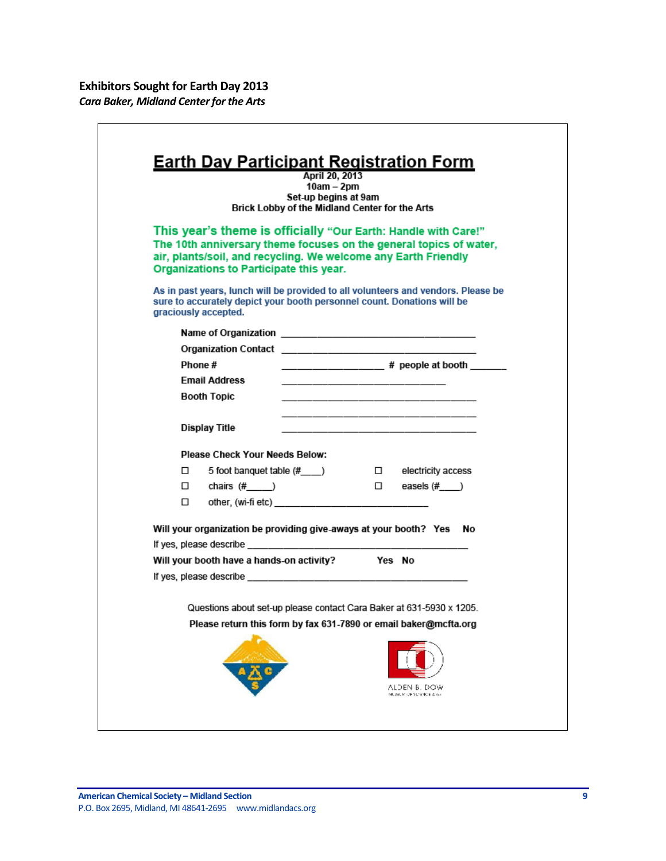<span id="page-8-0"></span> $\mathsf{I}$ 

|         |                                                                                                           | April 20, 2013<br>$10am - 2pm$<br>Set-up begins at 9am<br>Brick Lobby of the Midland Center for the Arts |                                                                                                                                      |
|---------|-----------------------------------------------------------------------------------------------------------|----------------------------------------------------------------------------------------------------------|--------------------------------------------------------------------------------------------------------------------------------------|
|         | air, plants/soil, and recycling. We welcome any Earth Friendly<br>Organizations to Participate this year. |                                                                                                          | This year's theme is officially "Our Earth: Handle with Care!"<br>The 10th anniversary theme focuses on the general topics of water, |
|         | sure to accurately depict your booth personnel count. Donations will be<br>graciously accepted.           |                                                                                                          | As in past years, lunch will be provided to all volunteers and vendors. Please be                                                    |
|         |                                                                                                           |                                                                                                          |                                                                                                                                      |
|         |                                                                                                           |                                                                                                          |                                                                                                                                      |
| Phone # |                                                                                                           |                                                                                                          | ________________# people at booth ____                                                                                               |
|         | Email Address<br><b>Booth Topic</b>                                                                       |                                                                                                          |                                                                                                                                      |
|         |                                                                                                           |                                                                                                          |                                                                                                                                      |
|         | Display Title                                                                                             |                                                                                                          | <u> 1989 - Johann John Harrison, mars eta bat eta bat eta bat eta bat eta bat eta bat eta bat eta bat eta bat e</u>                  |
|         | <b>Please Check Your Needs Below:</b>                                                                     |                                                                                                          |                                                                                                                                      |
| □       | 5 foot banquet table (#___)                                                                               |                                                                                                          | □ electricity access                                                                                                                 |
|         | $\square$ chairs $(\# \_\_)$                                                                              |                                                                                                          | $\square$ easels (#____)                                                                                                             |
| 0       |                                                                                                           |                                                                                                          |                                                                                                                                      |
|         |                                                                                                           |                                                                                                          | Will your organization be providing give-aways at your booth? Yes No                                                                 |
|         |                                                                                                           |                                                                                                          |                                                                                                                                      |
|         | Will your booth have a hands-on activity? Yes No                                                          |                                                                                                          |                                                                                                                                      |
|         |                                                                                                           |                                                                                                          |                                                                                                                                      |
|         |                                                                                                           |                                                                                                          | Questions about set-up please contact Cara Baker at 631-5930 x 1205.                                                                 |
|         |                                                                                                           |                                                                                                          | Please return this form by fax 631-7890 or email baker@mcfta.org                                                                     |
|         |                                                                                                           |                                                                                                          | ALDEN B. DOW                                                                                                                         |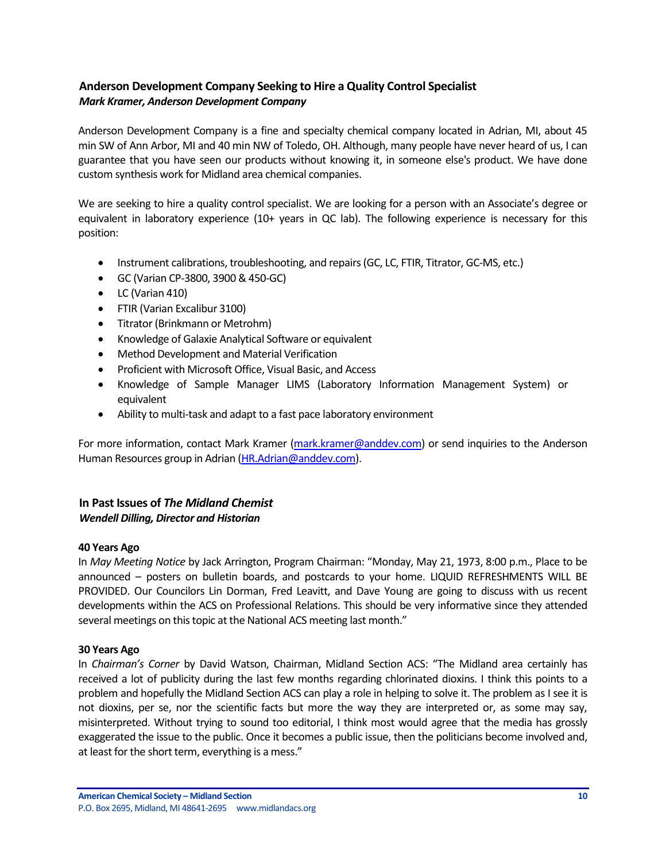# <span id="page-9-0"></span>**Anderson Development Company Seeking to Hire a Quality Control Specialist** *Mark Kramer, Anderson Development Company*

Anderson Development Company is a fine and specialty chemical company located in Adrian, MI, about 45 min SW of Ann Arbor, MI and 40 min NW of Toledo, OH. Although, many people have never heard of us, I can guarantee that you have seen our products without knowing it, in someone else's product. We have done custom synthesis work for Midland area chemical companies.

We are seeking to hire a quality control specialist. We are looking for a person with an Associate's degree or equivalent in laboratory experience (10+ years in QC lab). The following experience is necessary for this position:

- Instrument calibrations, troubleshooting, and repairs (GC, LC, FTIR, Titrator, GC-MS, etc.)
- GC (Varian CP-3800, 3900 & 450-GC)
- LC (Varian 410)
- FTIR (Varian Excalibur 3100)
- Titrator (Brinkmann or Metrohm)
- Knowledge of Galaxie Analytical Software or equivalent
- Method Development and Material Verification
- Proficient with Microsoft Office, Visual Basic, and Access
- Knowledge of Sample Manager LIMS (Laboratory Information Management System) or equivalent
- Ability to multi-task and adapt to a fast pace laboratory environment

For more information, contact Mark Kramer [\(mark.kramer@anddev.com\)](mailto:mark.kramer@anddev.com) or send inquiries to the Anderson Human Resources group in Adrian [\(HR.Adrian@anddev.com\)](mailto:HR.Adrian@anddev.com).

# <span id="page-9-1"></span>**In Past Issues of** *The Midland Chemist Wendell Dilling, Director and Historian*

# **40 Years Ago**

In *May Meeting Notice* by Jack Arrington, Program Chairman: "Monday, May 21, 1973, 8:00 p.m., Place to be announced – posters on bulletin boards, and postcards to your home. LIQUID REFRESHMENTS WILL BE PROVIDED. Our Councilors Lin Dorman, Fred Leavitt, and Dave Young are going to discuss with us recent developments within the ACS on Professional Relations. This should be very informative since they attended several meetings on this topic at the National ACS meeting last month."

#### **30 Years Ago**

In *Chairman's Corner* by David Watson, Chairman, Midland Section ACS: "The Midland area certainly has received a lot of publicity during the last few months regarding chlorinated dioxins. I think this points to a problem and hopefully the Midland Section ACS can play a role in helping to solve it. The problem as I see it is not dioxins, per se, nor the scientific facts but more the way they are interpreted or, as some may say, misinterpreted. Without trying to sound too editorial, I think most would agree that the media has grossly exaggerated the issue to the public. Once it becomes a public issue, then the politicians become involved and, at least for the short term, everything is a mess."